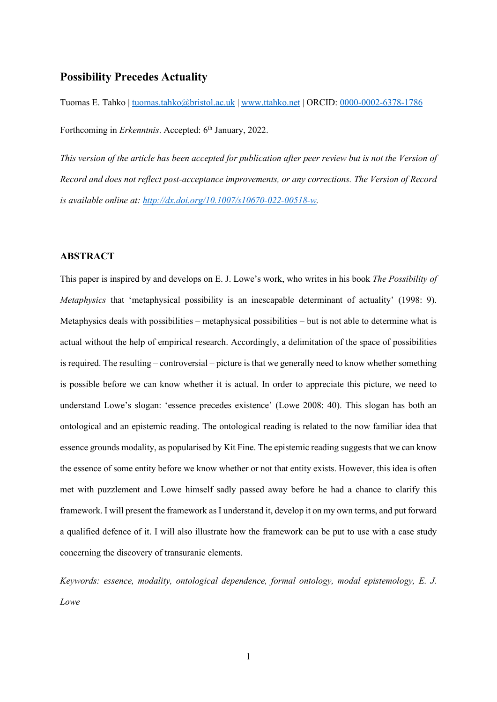# **Possibility Precedes Actuality**

Tuomas E. Tahko | [tuomas.tahko@bristol.ac.uk](mailto:tuomas.tahko@bristol.ac.uk) | [www.ttahko.net](http://www.ttahko.net/) | ORCID: [0000-0002-6378-1786](https://orcid.org/0000-0002-6378-1786) Forthcoming in *Erkenntnis*. Accepted: 6<sup>th</sup> January, 2022.

*This version of the article has been accepted for publication after peer review but is not the Version of Record and does not reflect post-acceptance improvements, or any corrections. The Version of Record is available online at: [http://dx.doi.org/10.1007/s10670-022-00518-w.](http://dx.doi.org/10.1007/s10670-022-00518-w)*

# **ABSTRACT**

This paper is inspired by and develops on E. J. Lowe's work, who writes in his book *The Possibility of Metaphysics* that 'metaphysical possibility is an inescapable determinant of actuality' (1998: 9). Metaphysics deals with possibilities – metaphysical possibilities – but is not able to determine what is actual without the help of empirical research. Accordingly, a delimitation of the space of possibilities is required. The resulting – controversial – picture is that we generally need to know whether something is possible before we can know whether it is actual. In order to appreciate this picture, we need to understand Lowe's slogan: 'essence precedes existence' (Lowe 2008: 40). This slogan has both an ontological and an epistemic reading. The ontological reading is related to the now familiar idea that essence grounds modality, as popularised by Kit Fine. The epistemic reading suggests that we can know the essence of some entity before we know whether or not that entity exists. However, this idea is often met with puzzlement and Lowe himself sadly passed away before he had a chance to clarify this framework. I will present the framework as I understand it, develop it on my own terms, and put forward a qualified defence of it. I will also illustrate how the framework can be put to use with a case study concerning the discovery of transuranic elements.

*Keywords: essence, modality, ontological dependence, formal ontology, modal epistemology, E. J. Lowe*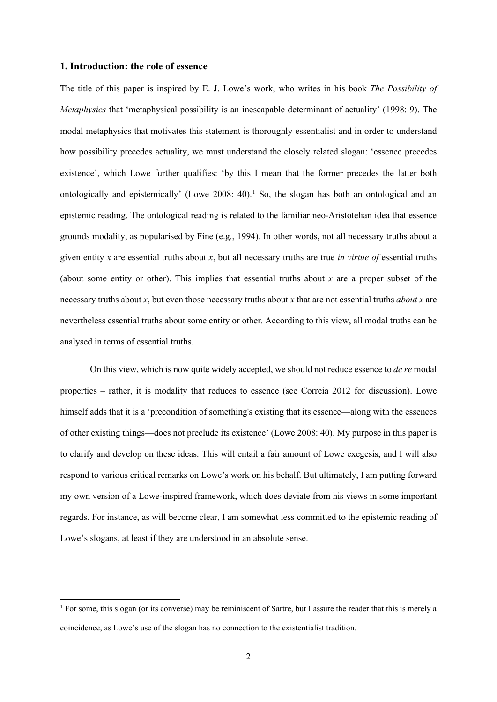# **1. Introduction: the role of essence**

The title of this paper is inspired by E. J. Lowe's work, who writes in his book *The Possibility of Metaphysics* that 'metaphysical possibility is an inescapable determinant of actuality' (1998: 9). The modal metaphysics that motivates this statement is thoroughly essentialist and in order to understand how possibility precedes actuality, we must understand the closely related slogan: 'essence precedes existence', which Lowe further qualifies: 'by this I mean that the former precedes the latter both ontologically and epistemically' (Lowe 2008: 40).<sup>[1](#page-1-0)</sup> So, the slogan has both an ontological and an epistemic reading. The ontological reading is related to the familiar neo-Aristotelian idea that essence grounds modality, as popularised by Fine (e.g., 1994). In other words, not all necessary truths about a given entity *x* are essential truths about *x*, but all necessary truths are true *in virtue of* essential truths (about some entity or other). This implies that essential truths about *x* are a proper subset of the necessary truths about *x*, but even those necessary truths about *x* that are not essential truths *about x* are nevertheless essential truths about some entity or other. According to this view, all modal truths can be analysed in terms of essential truths.

On this view, which is now quite widely accepted, we should not reduce essence to *de re* modal properties – rather, it is modality that reduces to essence (see Correia 2012 for discussion). Lowe himself adds that it is a 'precondition of something's existing that its essence—along with the essences of other existing things—does not preclude its existence' (Lowe 2008: 40). My purpose in this paper is to clarify and develop on these ideas. This will entail a fair amount of Lowe exegesis, and I will also respond to various critical remarks on Lowe's work on his behalf. But ultimately, I am putting forward my own version of a Lowe-inspired framework, which does deviate from his views in some important regards. For instance, as will become clear, I am somewhat less committed to the epistemic reading of Lowe's slogans, at least if they are understood in an absolute sense.

<span id="page-1-0"></span><sup>&</sup>lt;sup>1</sup> For some, this slogan (or its converse) may be reminiscent of Sartre, but I assure the reader that this is merely a coincidence, as Lowe's use of the slogan has no connection to the existentialist tradition.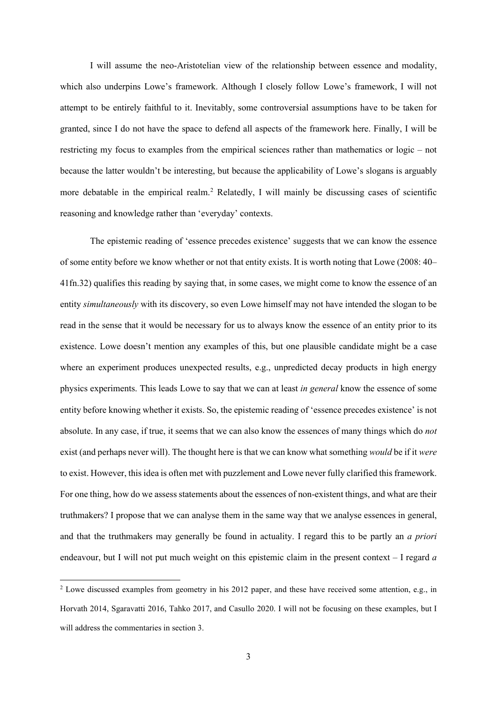I will assume the neo-Aristotelian view of the relationship between essence and modality, which also underpins Lowe's framework. Although I closely follow Lowe's framework, I will not attempt to be entirely faithful to it. Inevitably, some controversial assumptions have to be taken for granted, since I do not have the space to defend all aspects of the framework here. Finally, I will be restricting my focus to examples from the empirical sciences rather than mathematics or logic – not because the latter wouldn't be interesting, but because the applicability of Lowe's slogans is arguably more debatable in the empirical realm.[2](#page-2-0) Relatedly, I will mainly be discussing cases of scientific reasoning and knowledge rather than 'everyday' contexts.

The epistemic reading of 'essence precedes existence' suggests that we can know the essence of some entity before we know whether or not that entity exists. It is worth noting that Lowe (2008: 40– 41fn.32) qualifies this reading by saying that, in some cases, we might come to know the essence of an entity *simultaneously* with its discovery, so even Lowe himself may not have intended the slogan to be read in the sense that it would be necessary for us to always know the essence of an entity prior to its existence. Lowe doesn't mention any examples of this, but one plausible candidate might be a case where an experiment produces unexpected results, e.g., unpredicted decay products in high energy physics experiments. This leads Lowe to say that we can at least *in general* know the essence of some entity before knowing whether it exists. So, the epistemic reading of 'essence precedes existence' is not absolute. In any case, if true, it seems that we can also know the essences of many things which do *not* exist (and perhaps never will). The thought here is that we can know what something *would* be if it *were* to exist. However, this idea is often met with puzzlement and Lowe never fully clarified this framework. For one thing, how do we assess statements about the essences of non-existent things, and what are their truthmakers? I propose that we can analyse them in the same way that we analyse essences in general, and that the truthmakers may generally be found in actuality. I regard this to be partly an *a priori*  endeavour, but I will not put much weight on this epistemic claim in the present context – I regard *a* 

<span id="page-2-0"></span><sup>2</sup> Lowe discussed examples from geometry in his 2012 paper, and these have received some attention, e.g., in Horvath 2014, Sgaravatti 2016, Tahko 2017, and Casullo 2020. I will not be focusing on these examples, but I will address the commentaries in section 3.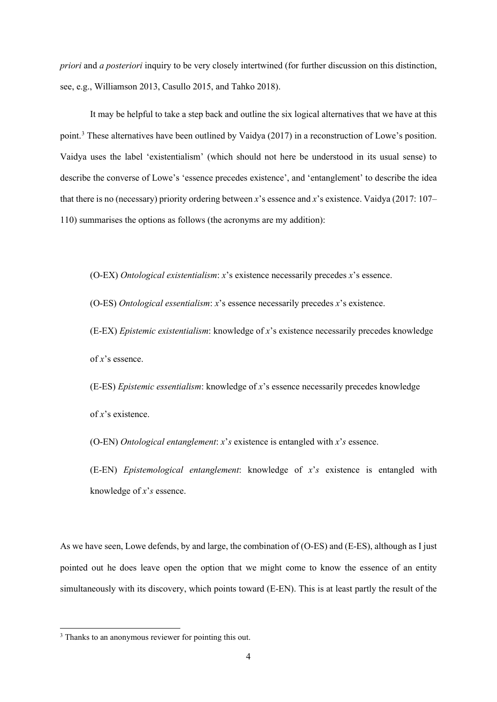*priori* and *a posteriori* inquiry to be very closely intertwined (for further discussion on this distinction, see, e.g., Williamson 2013, Casullo 2015, and Tahko 2018).

It may be helpful to take a step back and outline the six logical alternatives that we have at this point.[3](#page-3-0) These alternatives have been outlined by Vaidya (2017) in a reconstruction of Lowe's position. Vaidya uses the label 'existentialism' (which should not here be understood in its usual sense) to describe the converse of Lowe's 'essence precedes existence', and 'entanglement' to describe the idea that there is no (necessary) priority ordering between *x*'s essence and *x*'s existence. Vaidya (2017: 107– 110) summarises the options as follows (the acronyms are my addition):

(O-EX) *Ontological existentialism*: *x*'s existence necessarily precedes *x*'s essence.

(O-ES) *Ontological essentialism*: *x*'s essence necessarily precedes *x*'s existence.

(E-EX) *Epistemic existentialism*: knowledge of *x*'s existence necessarily precedes knowledge of *x*'s essence.

(E-ES) *Epistemic essentialism*: knowledge of *x*'s essence necessarily precedes knowledge of *x*'s existence.

(O-EN) *Ontological entanglement*: *x*'*s* existence is entangled with *x*'*s* essence.

(E-EN) *Epistemological entanglement*: knowledge of *x*'*s* existence is entangled with knowledge of *x*'*s* essence.

As we have seen, Lowe defends, by and large, the combination of (O-ES) and (E-ES), although as I just pointed out he does leave open the option that we might come to know the essence of an entity simultaneously with its discovery, which points toward (E-EN). This is at least partly the result of the

<span id="page-3-0"></span><sup>&</sup>lt;sup>3</sup> Thanks to an anonymous reviewer for pointing this out.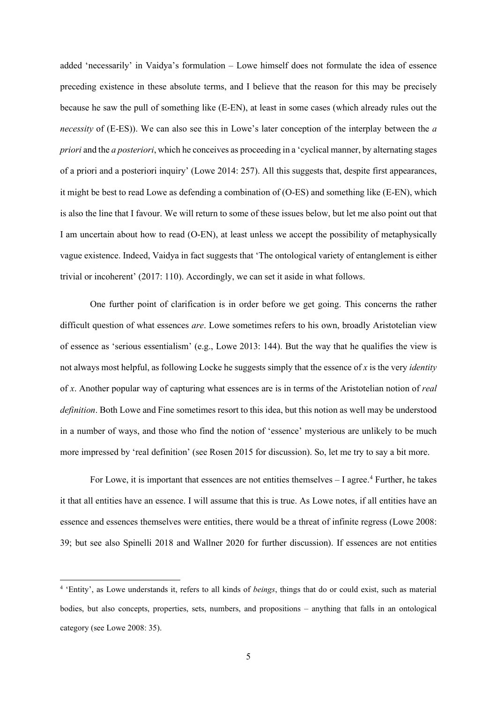added 'necessarily' in Vaidya's formulation – Lowe himself does not formulate the idea of essence preceding existence in these absolute terms, and I believe that the reason for this may be precisely because he saw the pull of something like (E-EN), at least in some cases (which already rules out the *necessity* of (E-ES)). We can also see this in Lowe's later conception of the interplay between the *a priori* and the *a posteriori*, which he conceives as proceeding in a 'cyclical manner, by alternating stages of a priori and a posteriori inquiry' (Lowe 2014: 257). All this suggests that, despite first appearances, it might be best to read Lowe as defending a combination of (O-ES) and something like (E-EN), which is also the line that I favour. We will return to some of these issues below, but let me also point out that I am uncertain about how to read (O-EN), at least unless we accept the possibility of metaphysically vague existence. Indeed, Vaidya in fact suggests that 'The ontological variety of entanglement is either trivial or incoherent' (2017: 110). Accordingly, we can set it aside in what follows.

One further point of clarification is in order before we get going. This concerns the rather difficult question of what essences *are*. Lowe sometimes refers to his own, broadly Aristotelian view of essence as 'serious essentialism' (e.g., Lowe 2013: 144). But the way that he qualifies the view is not always most helpful, as following Locke he suggests simply that the essence of *x* is the very *identity* of *x*. Another popular way of capturing what essences are is in terms of the Aristotelian notion of *real definition*. Both Lowe and Fine sometimes resort to this idea, but this notion as well may be understood in a number of ways, and those who find the notion of 'essence' mysterious are unlikely to be much more impressed by 'real definition' (see Rosen 2015 for discussion). So, let me try to say a bit more.

For Lowe, it is important that essences are not entities themselves - I agree.<sup>[4](#page-4-0)</sup> Further, he takes it that all entities have an essence. I will assume that this is true. As Lowe notes, if all entities have an essence and essences themselves were entities, there would be a threat of infinite regress (Lowe 2008: 39; but see also Spinelli 2018 and Wallner 2020 for further discussion). If essences are not entities

<span id="page-4-0"></span><sup>4</sup> 'Entity', as Lowe understands it, refers to all kinds of *beings*, things that do or could exist, such as material bodies, but also concepts, properties, sets, numbers, and propositions – anything that falls in an ontological category (see Lowe 2008: 35).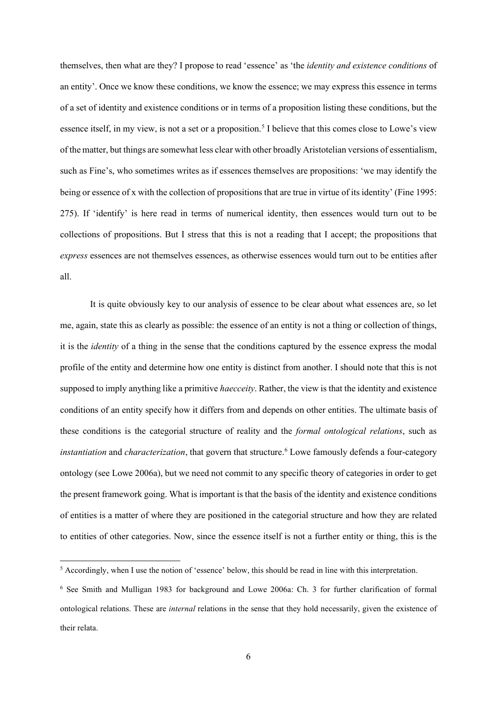themselves, then what are they? I propose to read 'essence' as 'the *identity and existence conditions* of an entity'. Once we know these conditions, we know the essence; we may express this essence in terms of a set of identity and existence conditions or in terms of a proposition listing these conditions, but the essence itself, in my view, is not a set or a proposition.<sup>[5](#page-5-0)</sup> I believe that this comes close to Lowe's view of the matter, but things are somewhat less clear with other broadly Aristotelian versions of essentialism, such as Fine's, who sometimes writes as if essences themselves are propositions: 'we may identify the being or essence of x with the collection of propositions that are true in virtue of its identity' (Fine 1995: 275). If 'identify' is here read in terms of numerical identity, then essences would turn out to be collections of propositions. But I stress that this is not a reading that I accept; the propositions that *express* essences are not themselves essences, as otherwise essences would turn out to be entities after all.

It is quite obviously key to our analysis of essence to be clear about what essences are, so let me, again, state this as clearly as possible: the essence of an entity is not a thing or collection of things, it is the *identity* of a thing in the sense that the conditions captured by the essence express the modal profile of the entity and determine how one entity is distinct from another. I should note that this is not supposed to imply anything like a primitive *haecceity*. Rather, the view is that the identity and existence conditions of an entity specify how it differs from and depends on other entities. The ultimate basis of these conditions is the categorial structure of reality and the *formal ontological relations*, such as *instantiation* and *characterization*, that govern that structure.<sup>[6](#page-5-1)</sup> Lowe famously defends a four-category ontology (see Lowe 2006a), but we need not commit to any specific theory of categories in order to get the present framework going. What is important is that the basis of the identity and existence conditions of entities is a matter of where they are positioned in the categorial structure and how they are related to entities of other categories. Now, since the essence itself is not a further entity or thing, this is the

<span id="page-5-0"></span><sup>5</sup> Accordingly, when I use the notion of 'essence' below, this should be read in line with this interpretation.

<span id="page-5-1"></span><sup>6</sup> See Smith and Mulligan 1983 for background and Lowe 2006a: Ch. 3 for further clarification of formal ontological relations. These are *internal* relations in the sense that they hold necessarily, given the existence of their relata.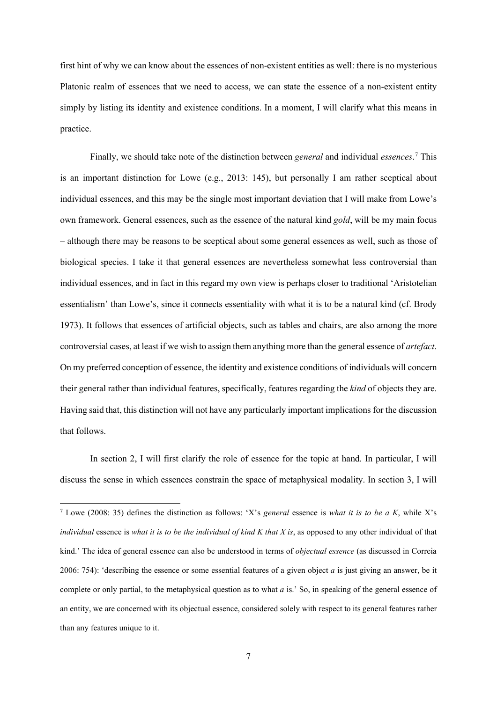first hint of why we can know about the essences of non-existent entities as well: there is no mysterious Platonic realm of essences that we need to access, we can state the essence of a non-existent entity simply by listing its identity and existence conditions. In a moment, I will clarify what this means in practice.

Finally, we should take note of the distinction between *general* and individual *essences*. [7](#page-6-0) This is an important distinction for Lowe (e.g., 2013: 145), but personally I am rather sceptical about individual essences, and this may be the single most important deviation that I will make from Lowe's own framework. General essences, such as the essence of the natural kind *gold*, will be my main focus – although there may be reasons to be sceptical about some general essences as well, such as those of biological species. I take it that general essences are nevertheless somewhat less controversial than individual essences, and in fact in this regard my own view is perhaps closer to traditional 'Aristotelian essentialism' than Lowe's, since it connects essentiality with what it is to be a natural kind (cf. Brody 1973). It follows that essences of artificial objects, such as tables and chairs, are also among the more controversial cases, at least if we wish to assign them anything more than the general essence of *artefact*. On my preferred conception of essence, the identity and existence conditions of individuals will concern their general rather than individual features, specifically, features regarding the *kind* of objects they are. Having said that, this distinction will not have any particularly important implications for the discussion that follows.

In section 2, I will first clarify the role of essence for the topic at hand. In particular, I will discuss the sense in which essences constrain the space of metaphysical modality. In section 3, I will

<span id="page-6-0"></span><sup>7</sup> Lowe (2008: 35) defines the distinction as follows: 'X's *general* essence is *what it is to be a K*, while X's *individual* essence is *what it is to be the individual of kind K that X is*, as opposed to any other individual of that kind.' The idea of general essence can also be understood in terms of *objectual essence* (as discussed in Correia 2006: 754): 'describing the essence or some essential features of a given object *a* is just giving an answer, be it complete or only partial, to the metaphysical question as to what *a* is.' So, in speaking of the general essence of an entity, we are concerned with its objectual essence, considered solely with respect to its general features rather than any features unique to it.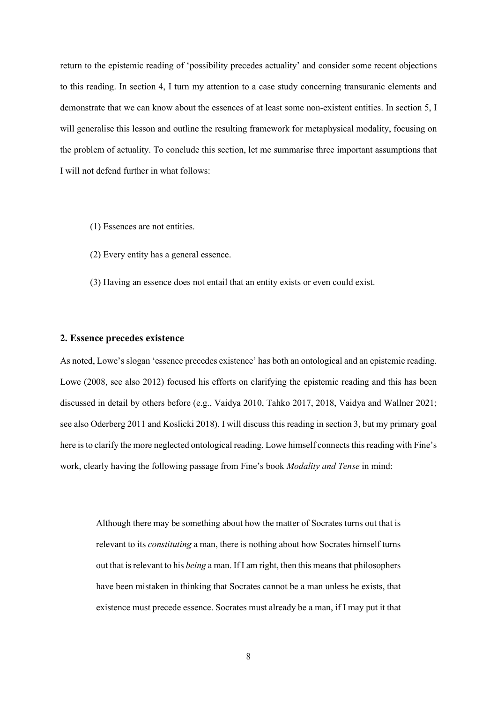return to the epistemic reading of 'possibility precedes actuality' and consider some recent objections to this reading. In section 4, I turn my attention to a case study concerning transuranic elements and demonstrate that we can know about the essences of at least some non-existent entities. In section 5, I will generalise this lesson and outline the resulting framework for metaphysical modality, focusing on the problem of actuality. To conclude this section, let me summarise three important assumptions that I will not defend further in what follows:

- (1) Essences are not entities.
- (2) Every entity has a general essence.
- (3) Having an essence does not entail that an entity exists or even could exist.

### **2. Essence precedes existence**

As noted, Lowe's slogan 'essence precedes existence' has both an ontological and an epistemic reading. Lowe (2008, see also 2012) focused his efforts on clarifying the epistemic reading and this has been discussed in detail by others before (e.g., Vaidya 2010, Tahko 2017, 2018, Vaidya and Wallner 2021; see also Oderberg 2011 and Koslicki 2018). I will discuss this reading in section 3, but my primary goal here is to clarify the more neglected ontological reading. Lowe himself connects this reading with Fine's work, clearly having the following passage from Fine's book *Modality and Tense* in mind:

Although there may be something about how the matter of Socrates turns out that is relevant to its *constituting* a man, there is nothing about how Socrates himself turns out that is relevant to his *being* a man. If I am right, then this means that philosophers have been mistaken in thinking that Socrates cannot be a man unless he exists, that existence must precede essence. Socrates must already be a man, if I may put it that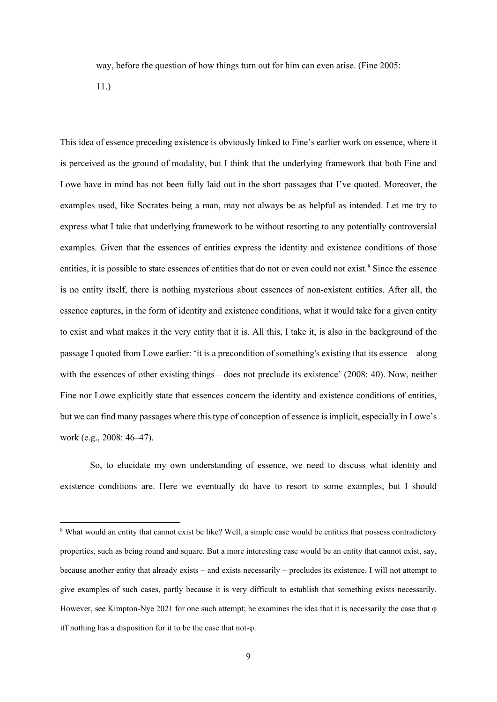way, before the question of how things turn out for him can even arise. (Fine 2005:

11.)

This idea of essence preceding existence is obviously linked to Fine's earlier work on essence, where it is perceived as the ground of modality, but I think that the underlying framework that both Fine and Lowe have in mind has not been fully laid out in the short passages that I've quoted. Moreover, the examples used, like Socrates being a man, may not always be as helpful as intended. Let me try to express what I take that underlying framework to be without resorting to any potentially controversial examples. Given that the essences of entities express the identity and existence conditions of those entities, it is possible to state essences of entities that do not or even could not exist.<sup>[8](#page-8-0)</sup> Since the essence is no entity itself, there is nothing mysterious about essences of non-existent entities. After all, the essence captures, in the form of identity and existence conditions, what it would take for a given entity to exist and what makes it the very entity that it is. All this, I take it, is also in the background of the passage I quoted from Lowe earlier: 'it is a precondition of something's existing that its essence—along with the essences of other existing things—does not preclude its existence' (2008: 40). Now, neither Fine nor Lowe explicitly state that essences concern the identity and existence conditions of entities, but we can find many passages where this type of conception of essence is implicit, especially in Lowe's work (e.g., 2008: 46–47).

So, to elucidate my own understanding of essence, we need to discuss what identity and existence conditions are. Here we eventually do have to resort to some examples, but I should

<span id="page-8-0"></span><sup>&</sup>lt;sup>8</sup> What would an entity that cannot exist be like? Well, a simple case would be entities that possess contradictory properties, such as being round and square. But a more interesting case would be an entity that cannot exist, say, because another entity that already exists – and exists necessarily – precludes its existence. I will not attempt to give examples of such cases, partly because it is very difficult to establish that something exists necessarily. However, see Kimpton-Nye 2021 for one such attempt; he examines the idea that it is necessarily the case that φ iff nothing has a disposition for it to be the case that not-φ.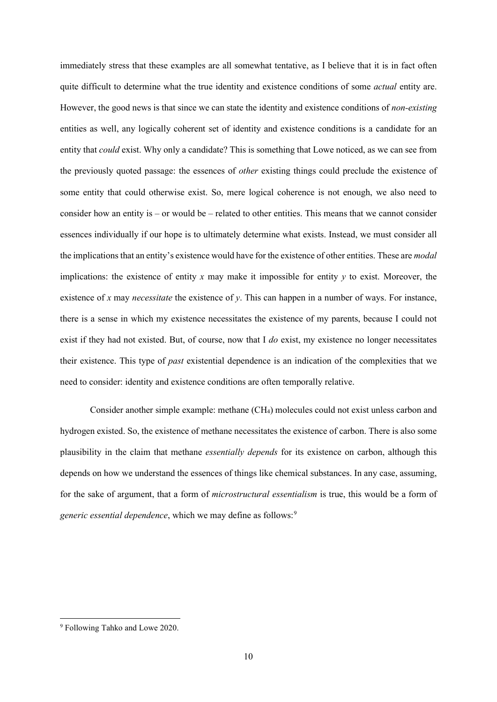immediately stress that these examples are all somewhat tentative, as I believe that it is in fact often quite difficult to determine what the true identity and existence conditions of some *actual* entity are. However, the good news is that since we can state the identity and existence conditions of *non-existing* entities as well, any logically coherent set of identity and existence conditions is a candidate for an entity that *could* exist. Why only a candidate? This is something that Lowe noticed, as we can see from the previously quoted passage: the essences of *other* existing things could preclude the existence of some entity that could otherwise exist. So, mere logical coherence is not enough, we also need to consider how an entity is – or would be – related to other entities. This means that we cannot consider essences individually if our hope is to ultimately determine what exists. Instead, we must consider all the implications that an entity's existence would have for the existence of other entities. These are *modal*  implications: the existence of entity *x* may make it impossible for entity *y* to exist. Moreover, the existence of *x* may *necessitate* the existence of *y*. This can happen in a number of ways. For instance, there is a sense in which my existence necessitates the existence of my parents, because I could not exist if they had not existed. But, of course, now that I *do* exist, my existence no longer necessitates their existence. This type of *past* existential dependence is an indication of the complexities that we need to consider: identity and existence conditions are often temporally relative.

Consider another simple example: methane (CH4) molecules could not exist unless carbon and hydrogen existed. So, the existence of methane necessitates the existence of carbon. There is also some plausibility in the claim that methane *essentially depends* for its existence on carbon, although this depends on how we understand the essences of things like chemical substances. In any case, assuming, for the sake of argument, that a form of *microstructural essentialism* is true, this would be a form of *generic essential dependence*, which we may define as follows:<sup>[9](#page-9-0)</sup>

<span id="page-9-0"></span><sup>9</sup> Following Tahko and Lowe 2020.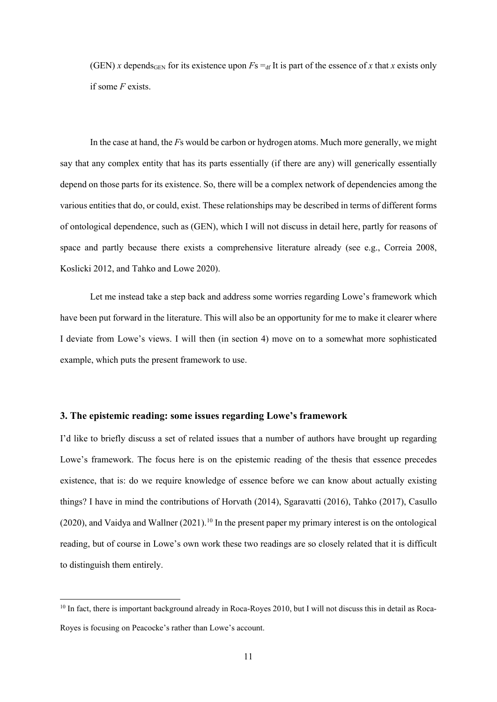(GEN) *x* depends<sub>GEN</sub> for its existence upon  $Fs = df$  It is part of the essence of *x* that *x* exists only if some *F* exists.

In the case at hand, the *F*s would be carbon or hydrogen atoms. Much more generally, we might say that any complex entity that has its parts essentially (if there are any) will generically essentially depend on those parts for its existence. So, there will be a complex network of dependencies among the various entities that do, or could, exist. These relationships may be described in terms of different forms of ontological dependence, such as (GEN), which I will not discuss in detail here, partly for reasons of space and partly because there exists a comprehensive literature already (see e.g., Correia 2008, Koslicki 2012, and Tahko and Lowe 2020).

Let me instead take a step back and address some worries regarding Lowe's framework which have been put forward in the literature. This will also be an opportunity for me to make it clearer where I deviate from Lowe's views. I will then (in section 4) move on to a somewhat more sophisticated example, which puts the present framework to use.

## **3. The epistemic reading: some issues regarding Lowe's framework**

I'd like to briefly discuss a set of related issues that a number of authors have brought up regarding Lowe's framework. The focus here is on the epistemic reading of the thesis that essence precedes existence, that is: do we require knowledge of essence before we can know about actually existing things? I have in mind the contributions of Horvath (2014), Sgaravatti (2016), Tahko (2017), Casullo  $(2020)$ , and Vaidya and Wallner  $(2021)$ .<sup>[10](#page-10-0)</sup> In the present paper my primary interest is on the ontological reading, but of course in Lowe's own work these two readings are so closely related that it is difficult to distinguish them entirely.

<span id="page-10-0"></span> $10$  In fact, there is important background already in Roca-Royes 2010, but I will not discuss this in detail as Roca-Royes is focusing on Peacocke's rather than Lowe's account.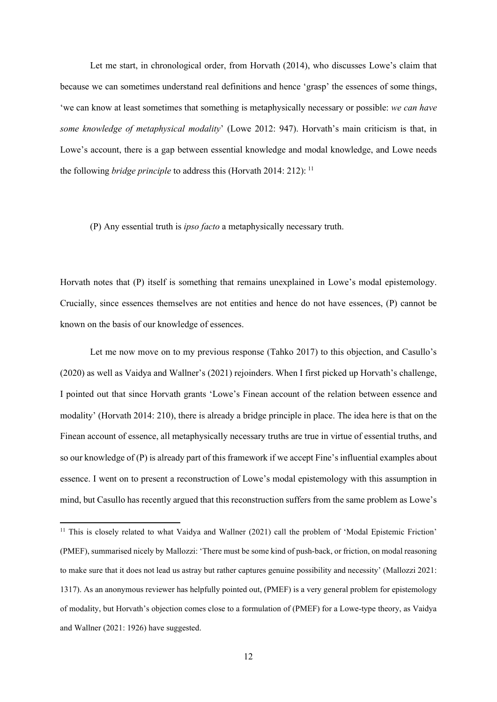Let me start, in chronological order, from Horvath (2014), who discusses Lowe's claim that because we can sometimes understand real definitions and hence 'grasp' the essences of some things, 'we can know at least sometimes that something is metaphysically necessary or possible: *we can have some knowledge of metaphysical modality*' (Lowe 2012: 947). Horvath's main criticism is that, in Lowe's account, there is a gap between essential knowledge and modal knowledge, and Lowe needs the following *bridge principle* to address this (Horvath 2014: 212): [11](#page-11-0)

#### (P) Any essential truth is *ipso facto* a metaphysically necessary truth.

Horvath notes that (P) itself is something that remains unexplained in Lowe's modal epistemology. Crucially, since essences themselves are not entities and hence do not have essences, (P) cannot be known on the basis of our knowledge of essences.

Let me now move on to my previous response (Tahko 2017) to this objection, and Casullo's (2020) as well as Vaidya and Wallner's (2021) rejoinders. When I first picked up Horvath's challenge, I pointed out that since Horvath grants 'Lowe's Finean account of the relation between essence and modality' (Horvath 2014: 210), there is already a bridge principle in place. The idea here is that on the Finean account of essence, all metaphysically necessary truths are true in virtue of essential truths, and so our knowledge of (P) is already part of this framework if we accept Fine's influential examples about essence. I went on to present a reconstruction of Lowe's modal epistemology with this assumption in mind, but Casullo has recently argued that this reconstruction suffers from the same problem as Lowe's

<span id="page-11-0"></span><sup>&</sup>lt;sup>11</sup> This is closely related to what Vaidya and Wallner (2021) call the problem of 'Modal Epistemic Friction' (PMEF), summarised nicely by Mallozzi: 'There must be some kind of push-back, or friction, on modal reasoning to make sure that it does not lead us astray but rather captures genuine possibility and necessity' (Mallozzi 2021: 1317). As an anonymous reviewer has helpfully pointed out, (PMEF) is a very general problem for epistemology of modality, but Horvath's objection comes close to a formulation of (PMEF) for a Lowe-type theory, as Vaidya and Wallner (2021: 1926) have suggested.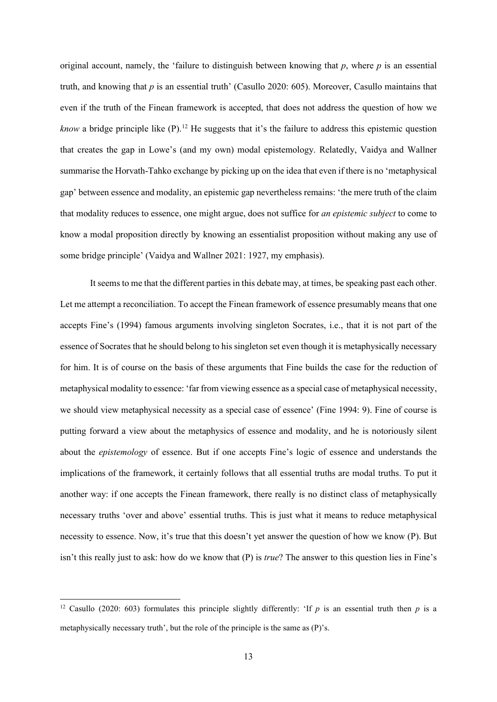original account, namely, the 'failure to distinguish between knowing that  $p$ , where  $p$  is an essential truth, and knowing that *p* is an essential truth' (Casullo 2020: 605). Moreover, Casullo maintains that even if the truth of the Finean framework is accepted, that does not address the question of how we *know* a bridge principle like (P).<sup>[12](#page-12-0)</sup> He suggests that it's the failure to address this epistemic question that creates the gap in Lowe's (and my own) modal epistemology. Relatedly, Vaidya and Wallner summarise the Horvath-Tahko exchange by picking up on the idea that even if there is no 'metaphysical gap' between essence and modality, an epistemic gap nevertheless remains: 'the mere truth of the claim that modality reduces to essence, one might argue, does not suffice for *an epistemic subject* to come to know a modal proposition directly by knowing an essentialist proposition without making any use of some bridge principle' (Vaidya and Wallner 2021: 1927, my emphasis).

It seems to me that the different parties in this debate may, at times, be speaking past each other. Let me attempt a reconciliation. To accept the Finean framework of essence presumably means that one accepts Fine's (1994) famous arguments involving singleton Socrates, i.e., that it is not part of the essence of Socrates that he should belong to his singleton set even though it is metaphysically necessary for him. It is of course on the basis of these arguments that Fine builds the case for the reduction of metaphysical modality to essence: 'far from viewing essence as a special case of metaphysical necessity, we should view metaphysical necessity as a special case of essence' (Fine 1994: 9). Fine of course is putting forward a view about the metaphysics of essence and modality, and he is notoriously silent about the *epistemology* of essence. But if one accepts Fine's logic of essence and understands the implications of the framework, it certainly follows that all essential truths are modal truths. To put it another way: if one accepts the Finean framework, there really is no distinct class of metaphysically necessary truths 'over and above' essential truths. This is just what it means to reduce metaphysical necessity to essence. Now, it's true that this doesn't yet answer the question of how we know (P). But isn't this really just to ask: how do we know that (P) is *true*? The answer to this question lies in Fine's

<span id="page-12-0"></span><sup>&</sup>lt;sup>12</sup> Casullo (2020: 603) formulates this principle slightly differently: 'If *p* is an essential truth then *p* is a metaphysically necessary truth', but the role of the principle is the same as (P)'s.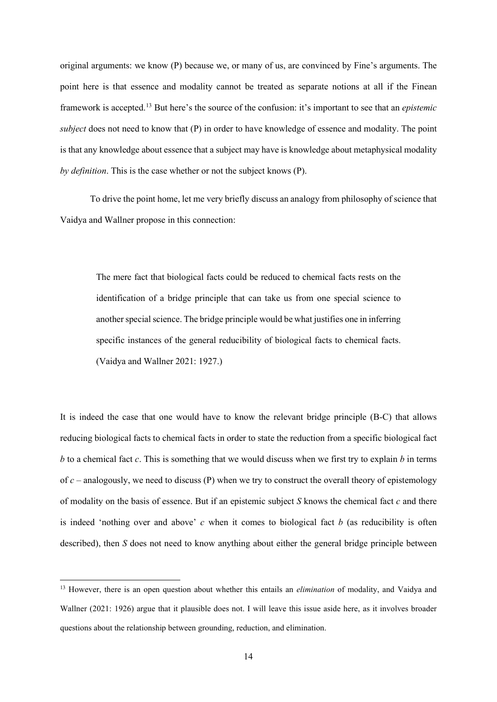original arguments: we know (P) because we, or many of us, are convinced by Fine's arguments. The point here is that essence and modality cannot be treated as separate notions at all if the Finean framework is accepted.[13](#page-13-0) But here's the source of the confusion: it's important to see that an *epistemic subject* does not need to know that (P) in order to have knowledge of essence and modality. The point is that any knowledge about essence that a subject may have is knowledge about metaphysical modality *by definition*. This is the case whether or not the subject knows (P).

To drive the point home, let me very briefly discuss an analogy from philosophy of science that Vaidya and Wallner propose in this connection:

The mere fact that biological facts could be reduced to chemical facts rests on the identification of a bridge principle that can take us from one special science to another special science. The bridge principle would be what justifies one in inferring specific instances of the general reducibility of biological facts to chemical facts. (Vaidya and Wallner 2021: 1927.)

It is indeed the case that one would have to know the relevant bridge principle (B-C) that allows reducing biological facts to chemical facts in order to state the reduction from a specific biological fact *b* to a chemical fact *c*. This is something that we would discuss when we first try to explain *b* in terms of  $c$  – analogously, we need to discuss (P) when we try to construct the overall theory of epistemology of modality on the basis of essence. But if an epistemic subject *S* knows the chemical fact *c* and there is indeed 'nothing over and above' *c* when it comes to biological fact *b* (as reducibility is often described), then *S* does not need to know anything about either the general bridge principle between

<span id="page-13-0"></span><sup>13</sup> However, there is an open question about whether this entails an *elimination* of modality, and Vaidya and Wallner (2021: 1926) argue that it plausible does not. I will leave this issue aside here, as it involves broader questions about the relationship between grounding, reduction, and elimination.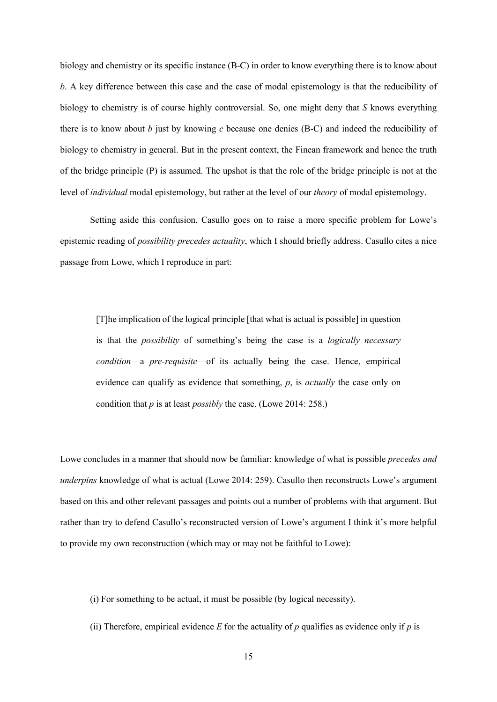biology and chemistry or its specific instance (B-C) in order to know everything there is to know about *b*. A key difference between this case and the case of modal epistemology is that the reducibility of biology to chemistry is of course highly controversial. So, one might deny that *S* knows everything there is to know about *b* just by knowing *c* because one denies (B-C) and indeed the reducibility of biology to chemistry in general. But in the present context, the Finean framework and hence the truth of the bridge principle (P) is assumed. The upshot is that the role of the bridge principle is not at the level of *individual* modal epistemology, but rather at the level of our *theory* of modal epistemology.

Setting aside this confusion, Casullo goes on to raise a more specific problem for Lowe's epistemic reading of *possibility precedes actuality*, which I should briefly address. Casullo cites a nice passage from Lowe, which I reproduce in part:

[T]he implication of the logical principle [that what is actual is possible] in question is that the *possibility* of something's being the case is a *logically necessary condition*—a *pre-requisite*—of its actually being the case. Hence, empirical evidence can qualify as evidence that something, *p*, is *actually* the case only on condition that *p* is at least *possibly* the case. (Lowe 2014: 258.)

Lowe concludes in a manner that should now be familiar: knowledge of what is possible *precedes and underpins* knowledge of what is actual (Lowe 2014: 259). Casullo then reconstructs Lowe's argument based on this and other relevant passages and points out a number of problems with that argument. But rather than try to defend Casullo's reconstructed version of Lowe's argument I think it's more helpful to provide my own reconstruction (which may or may not be faithful to Lowe):

(i) For something to be actual, it must be possible (by logical necessity).

(ii) Therefore, empirical evidence  $E$  for the actuality of  $p$  qualifies as evidence only if  $p$  is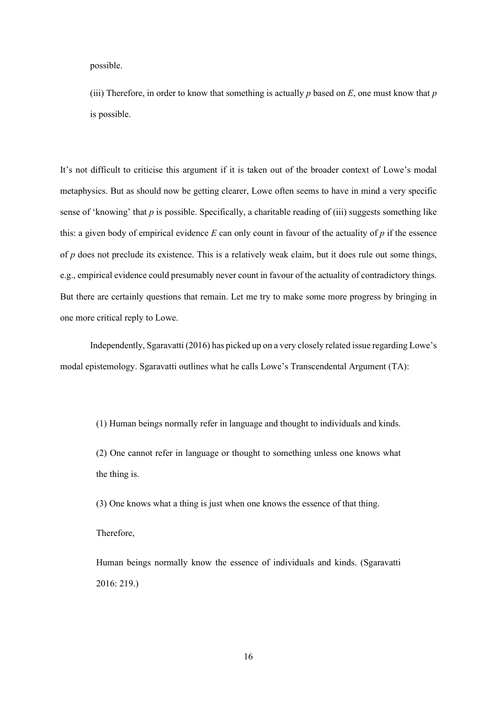possible.

(iii) Therefore, in order to know that something is actually *p* based on *E*, one must know that *p*  is possible.

It's not difficult to criticise this argument if it is taken out of the broader context of Lowe's modal metaphysics. But as should now be getting clearer, Lowe often seems to have in mind a very specific sense of 'knowing' that *p* is possible. Specifically, a charitable reading of (iii) suggests something like this: a given body of empirical evidence *E* can only count in favour of the actuality of *p* if the essence of *p* does not preclude its existence. This is a relatively weak claim, but it does rule out some things, e.g., empirical evidence could presumably never count in favour of the actuality of contradictory things. But there are certainly questions that remain. Let me try to make some more progress by bringing in one more critical reply to Lowe.

Independently, Sgaravatti (2016) has picked up on a very closely related issue regarding Lowe's modal epistemology. Sgaravatti outlines what he calls Lowe's Transcendental Argument (TA):

(1) Human beings normally refer in language and thought to individuals and kinds.

(2) One cannot refer in language or thought to something unless one knows what the thing is.

(3) One knows what a thing is just when one knows the essence of that thing.

Therefore,

Human beings normally know the essence of individuals and kinds. (Sgaravatti 2016: 219.)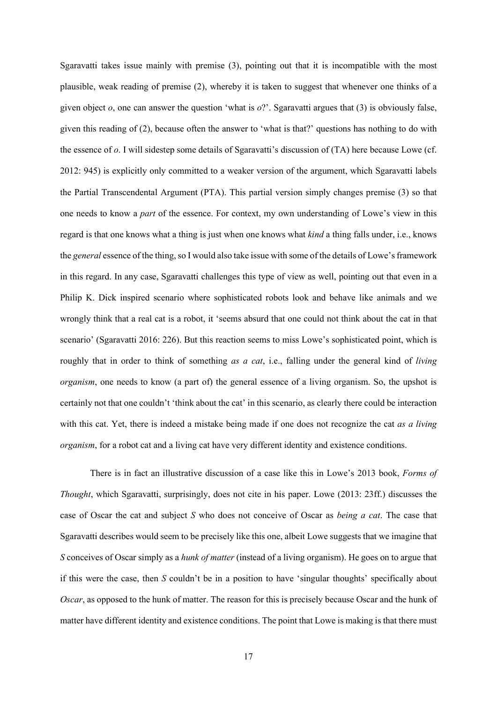Sgaravatti takes issue mainly with premise (3), pointing out that it is incompatible with the most plausible, weak reading of premise (2), whereby it is taken to suggest that whenever one thinks of a given object *o*, one can answer the question 'what is *o*?'. Sgaravatti argues that (3) is obviously false, given this reading of (2), because often the answer to 'what is that?' questions has nothing to do with the essence of *o*. I will sidestep some details of Sgaravatti's discussion of (TA) here because Lowe (cf. 2012: 945) is explicitly only committed to a weaker version of the argument, which Sgaravatti labels the Partial Transcendental Argument (PTA). This partial version simply changes premise (3) so that one needs to know a *part* of the essence. For context, my own understanding of Lowe's view in this regard is that one knows what a thing is just when one knows what *kind* a thing falls under, i.e., knows the *general* essence of the thing, so I would also take issue with some of the details of Lowe's framework in this regard. In any case, Sgaravatti challenges this type of view as well, pointing out that even in a Philip K. Dick inspired scenario where sophisticated robots look and behave like animals and we wrongly think that a real cat is a robot, it 'seems absurd that one could not think about the cat in that scenario' (Sgaravatti 2016: 226). But this reaction seems to miss Lowe's sophisticated point, which is roughly that in order to think of something *as a cat*, i.e., falling under the general kind of *living organism*, one needs to know (a part of) the general essence of a living organism. So, the upshot is certainly not that one couldn't 'think about the cat' in this scenario, as clearly there could be interaction with this cat. Yet, there is indeed a mistake being made if one does not recognize the cat *as a living organism*, for a robot cat and a living cat have very different identity and existence conditions.

There is in fact an illustrative discussion of a case like this in Lowe's 2013 book, *Forms of Thought*, which Sgaravatti, surprisingly, does not cite in his paper. Lowe (2013: 23ff.) discusses the case of Oscar the cat and subject *S* who does not conceive of Oscar as *being a cat*. The case that Sgaravatti describes would seem to be precisely like this one, albeit Lowe suggests that we imagine that *S* conceives of Oscar simply as a *hunk of matter* (instead of a living organism). He goes on to argue that if this were the case, then *S* couldn't be in a position to have 'singular thoughts' specifically about *Oscar*, as opposed to the hunk of matter. The reason for this is precisely because Oscar and the hunk of matter have different identity and existence conditions. The point that Lowe is making is that there must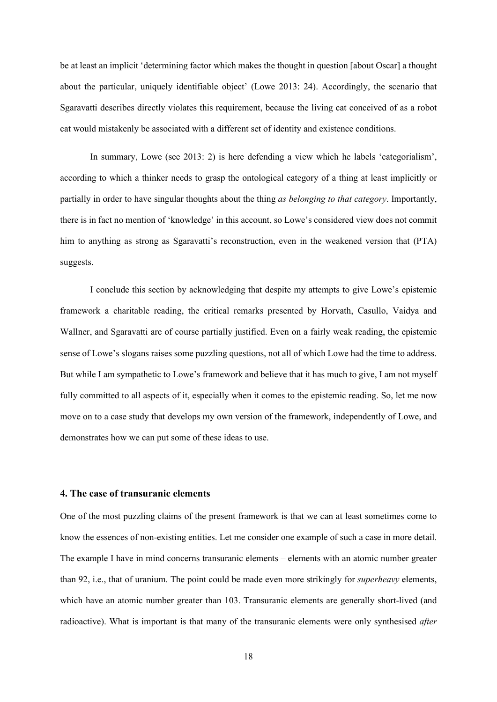be at least an implicit 'determining factor which makes the thought in question [about Oscar] a thought about the particular, uniquely identifiable object' (Lowe 2013: 24). Accordingly, the scenario that Sgaravatti describes directly violates this requirement, because the living cat conceived of as a robot cat would mistakenly be associated with a different set of identity and existence conditions.

In summary, Lowe (see 2013: 2) is here defending a view which he labels 'categorialism', according to which a thinker needs to grasp the ontological category of a thing at least implicitly or partially in order to have singular thoughts about the thing *as belonging to that category*. Importantly, there is in fact no mention of 'knowledge' in this account, so Lowe's considered view does not commit him to anything as strong as Sgaravatti's reconstruction, even in the weakened version that (PTA) suggests.

I conclude this section by acknowledging that despite my attempts to give Lowe's epistemic framework a charitable reading, the critical remarks presented by Horvath, Casullo, Vaidya and Wallner, and Sgaravatti are of course partially justified. Even on a fairly weak reading, the epistemic sense of Lowe's slogans raises some puzzling questions, not all of which Lowe had the time to address. But while I am sympathetic to Lowe's framework and believe that it has much to give, I am not myself fully committed to all aspects of it, especially when it comes to the epistemic reading. So, let me now move on to a case study that develops my own version of the framework, independently of Lowe, and demonstrates how we can put some of these ideas to use.

## **4. The case of transuranic elements**

One of the most puzzling claims of the present framework is that we can at least sometimes come to know the essences of non-existing entities. Let me consider one example of such a case in more detail. The example I have in mind concerns transuranic elements – elements with an atomic number greater than 92, i.e., that of uranium. The point could be made even more strikingly for *superheavy* elements, which have an atomic number greater than 103. Transuranic elements are generally short-lived (and radioactive). What is important is that many of the transuranic elements were only synthesised *after*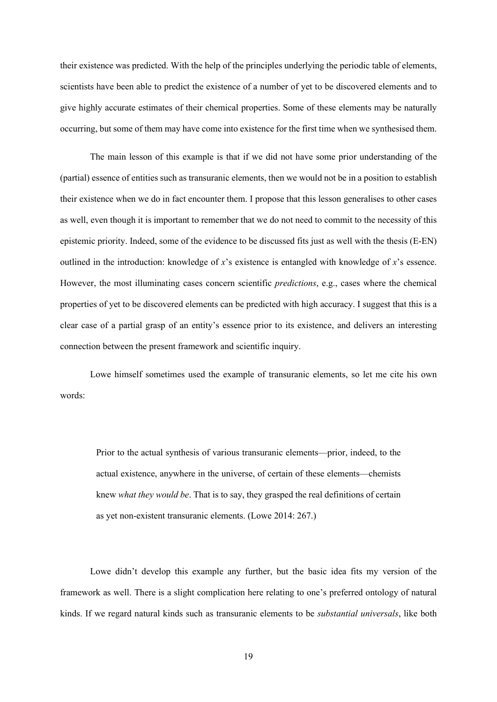their existence was predicted. With the help of the principles underlying the periodic table of elements, scientists have been able to predict the existence of a number of yet to be discovered elements and to give highly accurate estimates of their chemical properties. Some of these elements may be naturally occurring, but some of them may have come into existence for the first time when we synthesised them.

The main lesson of this example is that if we did not have some prior understanding of the (partial) essence of entities such as transuranic elements, then we would not be in a position to establish their existence when we do in fact encounter them. I propose that this lesson generalises to other cases as well, even though it is important to remember that we do not need to commit to the necessity of this epistemic priority. Indeed, some of the evidence to be discussed fits just as well with the thesis (E-EN) outlined in the introduction: knowledge of *x*'s existence is entangled with knowledge of *x*'s essence. However, the most illuminating cases concern scientific *predictions*, e.g., cases where the chemical properties of yet to be discovered elements can be predicted with high accuracy. I suggest that this is a clear case of a partial grasp of an entity's essence prior to its existence, and delivers an interesting connection between the present framework and scientific inquiry.

Lowe himself sometimes used the example of transuranic elements, so let me cite his own words:

Prior to the actual synthesis of various transuranic elements—prior, indeed, to the actual existence, anywhere in the universe, of certain of these elements—chemists knew *what they would be*. That is to say, they grasped the real definitions of certain as yet non-existent transuranic elements. (Lowe 2014: 267.)

Lowe didn't develop this example any further, but the basic idea fits my version of the framework as well. There is a slight complication here relating to one's preferred ontology of natural kinds. If we regard natural kinds such as transuranic elements to be *substantial universals*, like both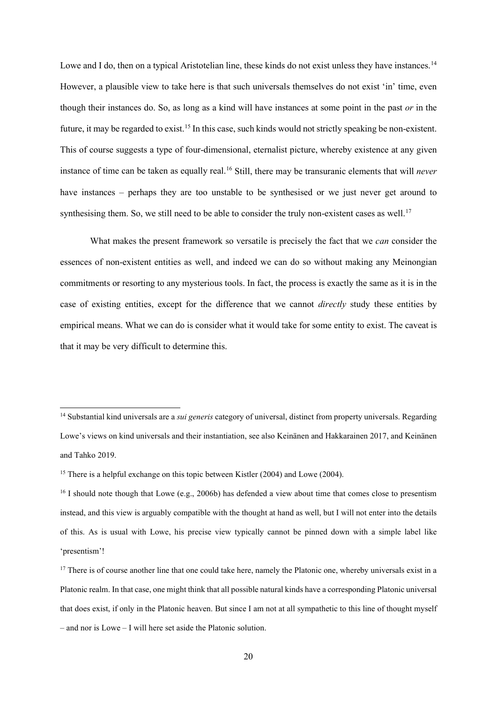Lowe and I do, then on a typical Aristotelian line, these kinds do not exist unless they have instances.<sup>[14](#page-19-0)</sup> However, a plausible view to take here is that such universals themselves do not exist 'in' time, even though their instances do. So, as long as a kind will have instances at some point in the past *or* in the future, it may be regarded to exist.<sup>15</sup> In this case, such kinds would not strictly speaking be non-existent. This of course suggests a type of four-dimensional, eternalist picture, whereby existence at any given instance of time can be taken as equally real.[16](#page-19-2) Still, there may be transuranic elements that will *never* have instances – perhaps they are too unstable to be synthesised or we just never get around to synthesising them. So, we still need to be able to consider the truly non-existent cases as well.<sup>[17](#page-19-3)</sup>

What makes the present framework so versatile is precisely the fact that we *can* consider the essences of non-existent entities as well, and indeed we can do so without making any Meinongian commitments or resorting to any mysterious tools. In fact, the process is exactly the same as it is in the case of existing entities, except for the difference that we cannot *directly* study these entities by empirical means. What we can do is consider what it would take for some entity to exist. The caveat is that it may be very difficult to determine this.

<span id="page-19-0"></span><sup>14</sup> Substantial kind universals are a *sui generis* category of universal, distinct from property universals. Regarding Lowe's views on kind universals and their instantiation, see also Keinänen and Hakkarainen 2017, and Keinänen and Tahko 2019.

<span id="page-19-1"></span><sup>&</sup>lt;sup>15</sup> There is a helpful exchange on this topic between Kistler (2004) and Lowe (2004).

<span id="page-19-2"></span><sup>&</sup>lt;sup>16</sup> I should note though that Lowe (e.g., 2006b) has defended a view about time that comes close to presentism instead, and this view is arguably compatible with the thought at hand as well, but I will not enter into the details of this. As is usual with Lowe, his precise view typically cannot be pinned down with a simple label like 'presentism'!

<span id="page-19-3"></span> $17$  There is of course another line that one could take here, namely the Platonic one, whereby universals exist in a Platonic realm. In that case, one might think that all possible natural kinds have a corresponding Platonic universal that does exist, if only in the Platonic heaven. But since I am not at all sympathetic to this line of thought myself – and nor is Lowe – I will here set aside the Platonic solution.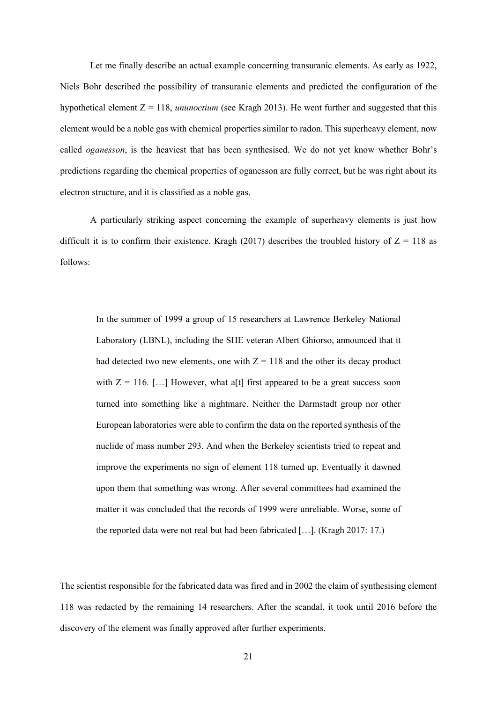Let me finally describe an actual example concerning transuranic elements. As early as 1922, Niels Bohr described the possibility of transuranic elements and predicted the configuration of the hypothetical element Z = 118, *ununoctium* (see Kragh 2013). He went further and suggested that this element would be a noble gas with chemical properties similar to radon. This superheavy element, now called *oganesson*, is the heaviest that has been synthesised. We do not yet know whether Bohr's predictions regarding the chemical properties of oganesson are fully correct, but he was right about its electron structure, and it is classified as a noble gas.

A particularly striking aspect concerning the example of superheavy elements is just how difficult it is to confirm their existence. Kragh (2017) describes the troubled history of  $Z = 118$  as follows:

In the summer of 1999 a group of 15 researchers at Lawrence Berkeley National Laboratory (LBNL), including the SHE veteran Albert Ghiorso, announced that it had detected two new elements, one with  $Z = 118$  and the other its decay product with  $Z = 116$ . [...] However, what a<sup>[t]</sup> first appeared to be a great success soon turned into something like a nightmare. Neither the Darmstadt group nor other European laboratories were able to confirm the data on the reported synthesis of the nuclide of mass number 293. And when the Berkeley scientists tried to repeat and improve the experiments no sign of element 118 turned up. Eventually it dawned upon them that something was wrong. After several committees had examined the matter it was concluded that the records of 1999 were unreliable. Worse, some of the reported data were not real but had been fabricated […]. (Kragh 2017: 17.)

The scientist responsible for the fabricated data was fired and in 2002 the claim of synthesising element 118 was redacted by the remaining 14 researchers. After the scandal, it took until 2016 before the discovery of the element was finally approved after further experiments.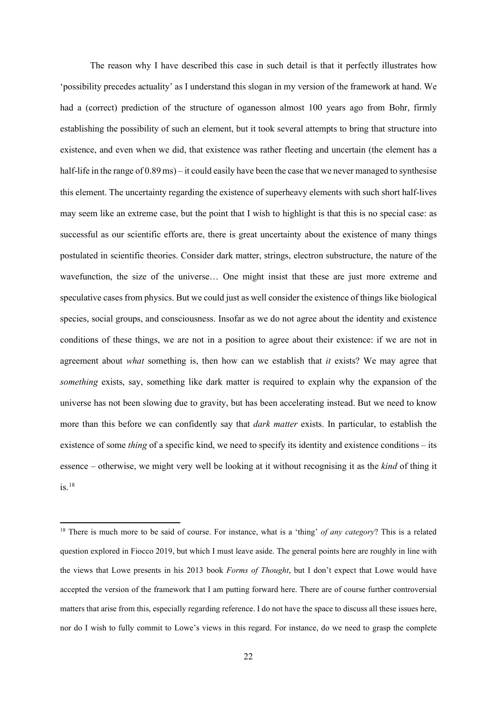The reason why I have described this case in such detail is that it perfectly illustrates how 'possibility precedes actuality' as I understand this slogan in my version of the framework at hand. We had a (correct) prediction of the structure of oganesson almost 100 years ago from Bohr, firmly establishing the possibility of such an element, but it took several attempts to bring that structure into existence, and even when we did, that existence was rather fleeting and uncertain (the element has a half-life in the range of 0.89 ms) – it could easily have been the case that we never managed to synthesise this element. The uncertainty regarding the existence of superheavy elements with such short half-lives may seem like an extreme case, but the point that I wish to highlight is that this is no special case: as successful as our scientific efforts are, there is great uncertainty about the existence of many things postulated in scientific theories. Consider dark matter, strings, electron substructure, the nature of the wavefunction, the size of the universe… One might insist that these are just more extreme and speculative cases from physics. But we could just as well consider the existence of things like biological species, social groups, and consciousness. Insofar as we do not agree about the identity and existence conditions of these things, we are not in a position to agree about their existence: if we are not in agreement about *what* something is, then how can we establish that *it* exists? We may agree that *something* exists, say, something like dark matter is required to explain why the expansion of the universe has not been slowing due to gravity, but has been accelerating instead. But we need to know more than this before we can confidently say that *dark matter* exists. In particular, to establish the existence of some *thing* of a specific kind, we need to specify its identity and existence conditions – its essence – otherwise, we might very well be looking at it without recognising it as the *kind* of thing it is.[18](#page-21-0)

<span id="page-21-0"></span><sup>18</sup> There is much more to be said of course. For instance, what is a 'thing' *of any category*? This is a related question explored in Fiocco 2019, but which I must leave aside. The general points here are roughly in line with the views that Lowe presents in his 2013 book *Forms of Thought*, but I don't expect that Lowe would have accepted the version of the framework that I am putting forward here. There are of course further controversial matters that arise from this, especially regarding reference. I do not have the space to discuss all these issues here, nor do I wish to fully commit to Lowe's views in this regard. For instance, do we need to grasp the complete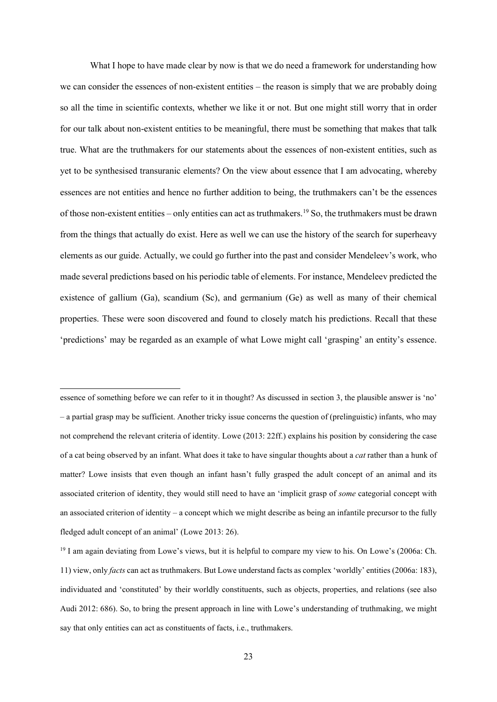What I hope to have made clear by now is that we do need a framework for understanding how we can consider the essences of non-existent entities – the reason is simply that we are probably doing so all the time in scientific contexts, whether we like it or not. But one might still worry that in order for our talk about non-existent entities to be meaningful, there must be something that makes that talk true. What are the truthmakers for our statements about the essences of non-existent entities, such as yet to be synthesised transuranic elements? On the view about essence that I am advocating, whereby essences are not entities and hence no further addition to being, the truthmakers can't be the essences of those non-existent entities – only entities can act as truthmakers. [19](#page-22-0) So, the truthmakers must be drawn from the things that actually do exist. Here as well we can use the history of the search for superheavy elements as our guide. Actually, we could go further into the past and consider Mendeleev's work, who made several predictions based on his periodic table of elements. For instance, Mendeleev predicted the existence of gallium (Ga), scandium (Sc), and germanium (Ge) as well as many of their chemical properties. These were soon discovered and found to closely match his predictions. Recall that these 'predictions' may be regarded as an example of what Lowe might call 'grasping' an entity's essence.

essence of something before we can refer to it in thought? As discussed in section 3, the plausible answer is 'no' – a partial grasp may be sufficient. Another tricky issue concerns the question of (prelinguistic) infants, who may not comprehend the relevant criteria of identity. Lowe (2013: 22ff.) explains his position by considering the case of a cat being observed by an infant. What does it take to have singular thoughts about a *cat* rather than a hunk of matter? Lowe insists that even though an infant hasn't fully grasped the adult concept of an animal and its associated criterion of identity, they would still need to have an 'implicit grasp of *some* categorial concept with an associated criterion of identity – a concept which we might describe as being an infantile precursor to the fully fledged adult concept of an animal' (Lowe 2013: 26).

<span id="page-22-0"></span><sup>19</sup> I am again deviating from Lowe's views, but it is helpful to compare my view to his. On Lowe's (2006a: Ch. 11) view, only *facts* can act as truthmakers. But Lowe understand facts as complex 'worldly' entities (2006a: 183), individuated and 'constituted' by their worldly constituents, such as objects, properties, and relations (see also Audi 2012: 686). So, to bring the present approach in line with Lowe's understanding of truthmaking, we might say that only entities can act as constituents of facts, i.e., truthmakers.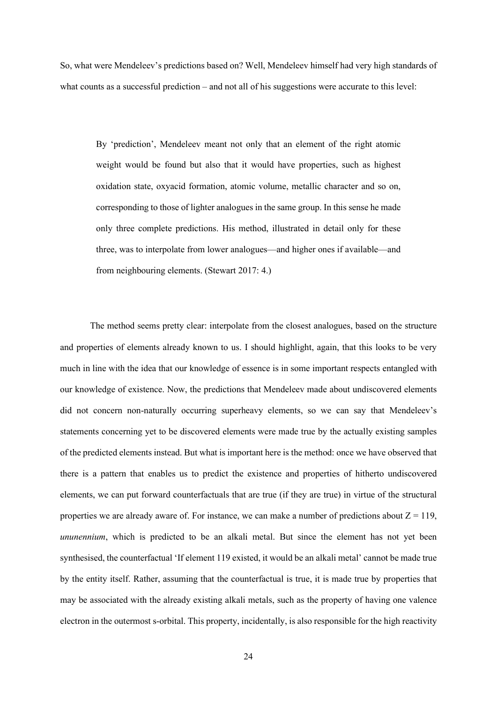So, what were Mendeleev's predictions based on? Well, Mendeleev himself had very high standards of what counts as a successful prediction – and not all of his suggestions were accurate to this level:

By 'prediction', Mendeleev meant not only that an element of the right atomic weight would be found but also that it would have properties, such as highest oxidation state, oxyacid formation, atomic volume, metallic character and so on, corresponding to those of lighter analogues in the same group. In this sense he made only three complete predictions. His method, illustrated in detail only for these three, was to interpolate from lower analogues—and higher ones if available—and from neighbouring elements. (Stewart 2017: 4.)

The method seems pretty clear: interpolate from the closest analogues, based on the structure and properties of elements already known to us. I should highlight, again, that this looks to be very much in line with the idea that our knowledge of essence is in some important respects entangled with our knowledge of existence. Now, the predictions that Mendeleev made about undiscovered elements did not concern non-naturally occurring superheavy elements, so we can say that Mendeleev's statements concerning yet to be discovered elements were made true by the actually existing samples of the predicted elements instead. But what is important here is the method: once we have observed that there is a pattern that enables us to predict the existence and properties of hitherto undiscovered elements, we can put forward counterfactuals that are true (if they are true) in virtue of the structural properties we are already aware of. For instance, we can make a number of predictions about  $Z = 119$ , *ununennium*, which is predicted to be an alkali metal. But since the element has not yet been synthesised, the counterfactual 'If element 119 existed, it would be an alkali metal' cannot be made true by the entity itself. Rather, assuming that the counterfactual is true, it is made true by properties that may be associated with the already existing alkali metals, such as the property of having one valence electron in the outermost s-orbital. This property, incidentally, is also responsible for the high reactivity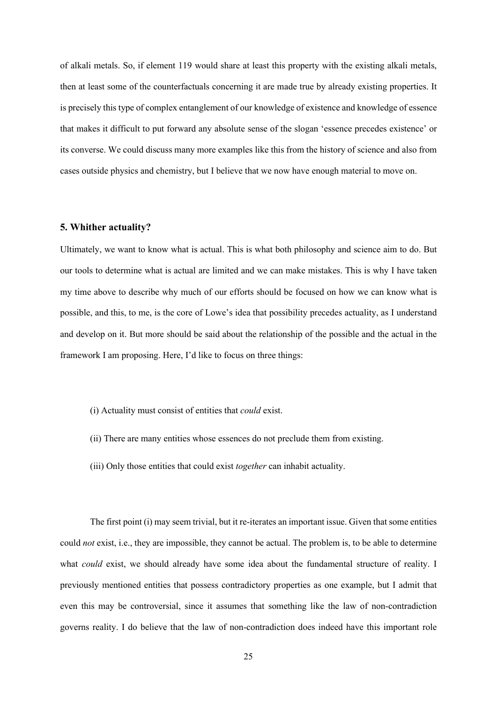of alkali metals. So, if element 119 would share at least this property with the existing alkali metals, then at least some of the counterfactuals concerning it are made true by already existing properties. It is precisely this type of complex entanglement of our knowledge of existence and knowledge of essence that makes it difficult to put forward any absolute sense of the slogan 'essence precedes existence' or its converse. We could discuss many more examples like this from the history of science and also from cases outside physics and chemistry, but I believe that we now have enough material to move on.

#### **5. Whither actuality?**

Ultimately, we want to know what is actual. This is what both philosophy and science aim to do. But our tools to determine what is actual are limited and we can make mistakes. This is why I have taken my time above to describe why much of our efforts should be focused on how we can know what is possible, and this, to me, is the core of Lowe's idea that possibility precedes actuality, as I understand and develop on it. But more should be said about the relationship of the possible and the actual in the framework I am proposing. Here, I'd like to focus on three things:

- (i) Actuality must consist of entities that *could* exist.
- (ii) There are many entities whose essences do not preclude them from existing.
- (iii) Only those entities that could exist *together* can inhabit actuality.

The first point (i) may seem trivial, but it re-iterates an important issue. Given that some entities could *not* exist, i.e., they are impossible, they cannot be actual. The problem is, to be able to determine what *could* exist, we should already have some idea about the fundamental structure of reality. I previously mentioned entities that possess contradictory properties as one example, but I admit that even this may be controversial, since it assumes that something like the law of non-contradiction governs reality. I do believe that the law of non-contradiction does indeed have this important role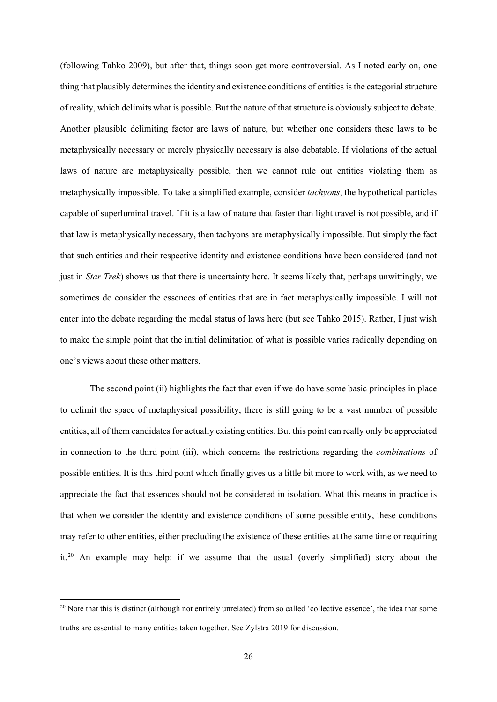(following Tahko 2009), but after that, things soon get more controversial. As I noted early on, one thing that plausibly determines the identity and existence conditions of entities is the categorial structure of reality, which delimits what is possible. But the nature of that structure is obviously subject to debate. Another plausible delimiting factor are laws of nature, but whether one considers these laws to be metaphysically necessary or merely physically necessary is also debatable. If violations of the actual laws of nature are metaphysically possible, then we cannot rule out entities violating them as metaphysically impossible. To take a simplified example, consider *tachyons*, the hypothetical particles capable of superluminal travel. If it is a law of nature that faster than light travel is not possible, and if that law is metaphysically necessary, then tachyons are metaphysically impossible. But simply the fact that such entities and their respective identity and existence conditions have been considered (and not just in *Star Trek*) shows us that there is uncertainty here. It seems likely that, perhaps unwittingly, we sometimes do consider the essences of entities that are in fact metaphysically impossible. I will not enter into the debate regarding the modal status of laws here (but see Tahko 2015). Rather, I just wish to make the simple point that the initial delimitation of what is possible varies radically depending on one's views about these other matters.

The second point (ii) highlights the fact that even if we do have some basic principles in place to delimit the space of metaphysical possibility, there is still going to be a vast number of possible entities, all of them candidates for actually existing entities. But this point can really only be appreciated in connection to the third point (iii), which concerns the restrictions regarding the *combinations* of possible entities. It is this third point which finally gives us a little bit more to work with, as we need to appreciate the fact that essences should not be considered in isolation. What this means in practice is that when we consider the identity and existence conditions of some possible entity, these conditions may refer to other entities, either precluding the existence of these entities at the same time or requiring it[.20](#page-25-0) An example may help: if we assume that the usual (overly simplified) story about the

<span id="page-25-0"></span> $20$  Note that this is distinct (although not entirely unrelated) from so called 'collective essence', the idea that some truths are essential to many entities taken together. See Zylstra 2019 for discussion.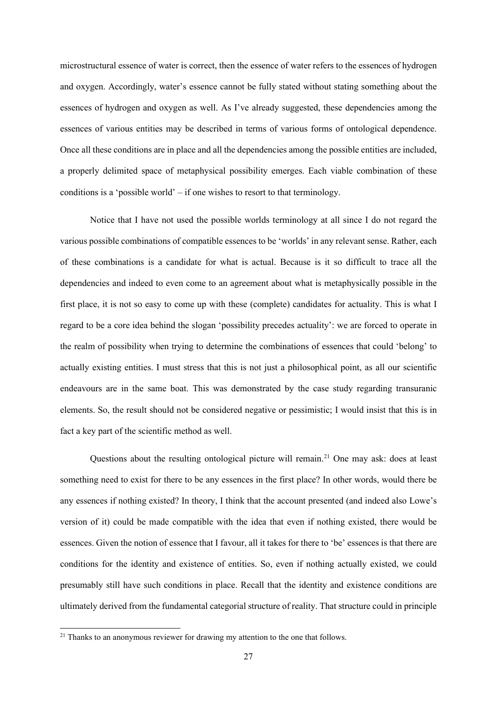microstructural essence of water is correct, then the essence of water refers to the essences of hydrogen and oxygen. Accordingly, water's essence cannot be fully stated without stating something about the essences of hydrogen and oxygen as well. As I've already suggested, these dependencies among the essences of various entities may be described in terms of various forms of ontological dependence. Once all these conditions are in place and all the dependencies among the possible entities are included, a properly delimited space of metaphysical possibility emerges. Each viable combination of these conditions is a 'possible world' – if one wishes to resort to that terminology.

Notice that I have not used the possible worlds terminology at all since I do not regard the various possible combinations of compatible essences to be 'worlds' in any relevant sense. Rather, each of these combinations is a candidate for what is actual. Because is it so difficult to trace all the dependencies and indeed to even come to an agreement about what is metaphysically possible in the first place, it is not so easy to come up with these (complete) candidates for actuality. This is what I regard to be a core idea behind the slogan 'possibility precedes actuality': we are forced to operate in the realm of possibility when trying to determine the combinations of essences that could 'belong' to actually existing entities. I must stress that this is not just a philosophical point, as all our scientific endeavours are in the same boat. This was demonstrated by the case study regarding transuranic elements. So, the result should not be considered negative or pessimistic; I would insist that this is in fact a key part of the scientific method as well.

Questions about the resulting ontological picture will remain.<sup>[21](#page-26-0)</sup> One may ask: does at least something need to exist for there to be any essences in the first place? In other words, would there be any essences if nothing existed? In theory, I think that the account presented (and indeed also Lowe's version of it) could be made compatible with the idea that even if nothing existed, there would be essences. Given the notion of essence that I favour, all it takes for there to 'be' essences is that there are conditions for the identity and existence of entities. So, even if nothing actually existed, we could presumably still have such conditions in place. Recall that the identity and existence conditions are ultimately derived from the fundamental categorial structure of reality. That structure could in principle

<span id="page-26-0"></span> $21$  Thanks to an anonymous reviewer for drawing my attention to the one that follows.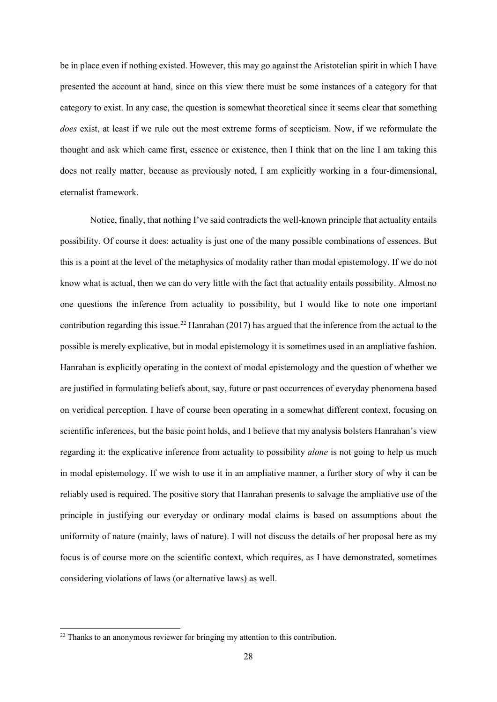be in place even if nothing existed. However, this may go against the Aristotelian spirit in which I have presented the account at hand, since on this view there must be some instances of a category for that category to exist. In any case, the question is somewhat theoretical since it seems clear that something *does* exist, at least if we rule out the most extreme forms of scepticism. Now, if we reformulate the thought and ask which came first, essence or existence, then I think that on the line I am taking this does not really matter, because as previously noted, I am explicitly working in a four-dimensional, eternalist framework.

Notice, finally, that nothing I've said contradicts the well-known principle that actuality entails possibility. Of course it does: actuality is just one of the many possible combinations of essences. But this is a point at the level of the metaphysics of modality rather than modal epistemology. If we do not know what is actual, then we can do very little with the fact that actuality entails possibility. Almost no one questions the inference from actuality to possibility, but I would like to note one important contribution regarding this issue.<sup>[22](#page-27-0)</sup> Hanrahan (2017) has argued that the inference from the actual to the possible is merely explicative, but in modal epistemology it is sometimes used in an ampliative fashion. Hanrahan is explicitly operating in the context of modal epistemology and the question of whether we are justified in formulating beliefs about, say, future or past occurrences of everyday phenomena based on veridical perception. I have of course been operating in a somewhat different context, focusing on scientific inferences, but the basic point holds, and I believe that my analysis bolsters Hanrahan's view regarding it: the explicative inference from actuality to possibility *alone* is not going to help us much in modal epistemology. If we wish to use it in an ampliative manner, a further story of why it can be reliably used is required. The positive story that Hanrahan presents to salvage the ampliative use of the principle in justifying our everyday or ordinary modal claims is based on assumptions about the uniformity of nature (mainly, laws of nature). I will not discuss the details of her proposal here as my focus is of course more on the scientific context, which requires, as I have demonstrated, sometimes considering violations of laws (or alternative laws) as well.

<span id="page-27-0"></span><sup>&</sup>lt;sup>22</sup> Thanks to an anonymous reviewer for bringing my attention to this contribution.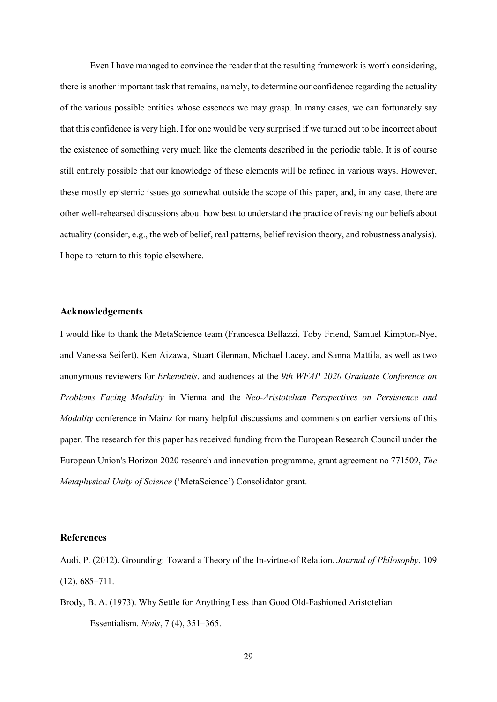Even I have managed to convince the reader that the resulting framework is worth considering, there is another important task that remains, namely, to determine our confidence regarding the actuality of the various possible entities whose essences we may grasp. In many cases, we can fortunately say that this confidence is very high. I for one would be very surprised if we turned out to be incorrect about the existence of something very much like the elements described in the periodic table. It is of course still entirely possible that our knowledge of these elements will be refined in various ways. However, these mostly epistemic issues go somewhat outside the scope of this paper, and, in any case, there are other well-rehearsed discussions about how best to understand the practice of revising our beliefs about actuality (consider, e.g., the web of belief, real patterns, belief revision theory, and robustness analysis). I hope to return to this topic elsewhere.

## **Acknowledgements**

I would like to thank the MetaScience team (Francesca Bellazzi, Toby Friend, Samuel Kimpton-Nye, and Vanessa Seifert), Ken Aizawa, Stuart Glennan, Michael Lacey, and Sanna Mattila, as well as two anonymous reviewers for *Erkenntnis*, and audiences at the *9th WFAP 2020 Graduate Conference on Problems Facing Modality* in Vienna and the *Neo-Aristotelian Perspectives on Persistence and Modality* conference in Mainz for many helpful discussions and comments on earlier versions of this paper. The research for this paper has received funding from the European Research Council under the European Union's Horizon 2020 research and innovation programme, grant agreement no 771509, *The Metaphysical Unity of Science* ('MetaScience') Consolidator grant.

### **References**

Audi, P. (2012). Grounding: Toward a Theory of the In-virtue-of Relation. *Journal of Philosophy*, 109  $(12), 685 - 711.$ 

Brody, B. A. (1973). Why Settle for Anything Less than Good Old-Fashioned Aristotelian Essentialism. *Noûs*, 7 (4), 351–365.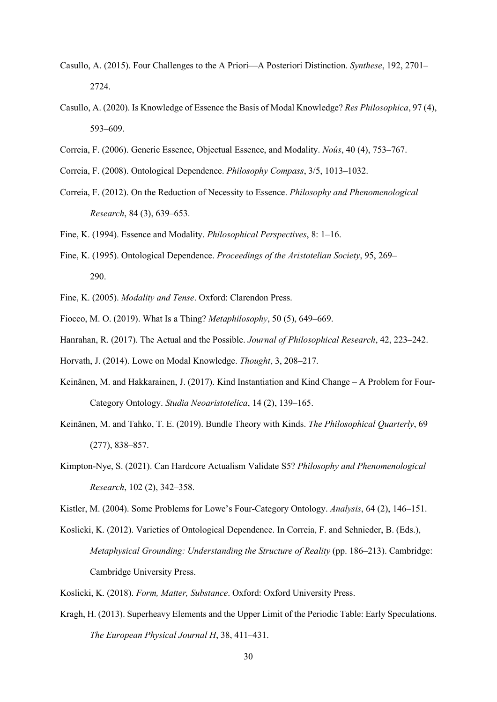- Casullo, A. (2015). Four Challenges to the A Priori—A Posteriori Distinction. *Synthese*, 192, 2701– 2724.
- Casullo, A. (2020). Is Knowledge of Essence the Basis of Modal Knowledge? *Res Philosophica*, 97 (4), 593–609.
- Correia, F. (2006). Generic Essence, Objectual Essence, and Modality. *Noûs*, 40 (4), 753–767.
- Correia, F. (2008). Ontological Dependence. *Philosophy Compass*, 3/5, 1013–1032.
- Correia, F. (2012). On the Reduction of Necessity to Essence. *Philosophy and Phenomenological Research*, 84 (3), 639–653.
- Fine, K. (1994). Essence and Modality. *Philosophical Perspectives*, 8: 1–16.
- Fine, K. (1995). Ontological Dependence. *Proceedings of the Aristotelian Society*, 95, 269– 290.
- Fine, K. (2005). *Modality and Tense*. Oxford: Clarendon Press.
- Fiocco, M. O. (2019). What Is a Thing? *Metaphilosophy*, 50 (5), 649–669.
- Hanrahan, R. (2017). The Actual and the Possible. *Journal of Philosophical Research*, 42, 223–242.
- Horvath, J. (2014). Lowe on Modal Knowledge. *Thought*, 3, 208–217.
- Keinänen, M. and Hakkarainen, J. (2017). Kind Instantiation and Kind Change A Problem for Four-Category Ontology. *Studia Neoaristotelica*, 14 (2), 139–165.
- Keinänen, M. and Tahko, T. E. (2019). Bundle Theory with Kinds. *The Philosophical Quarterly*, 69 (277), 838–857.
- Kimpton-Nye, S. (2021). Can Hardcore Actualism Validate S5? *Philosophy and Phenomenological Research*, 102 (2), 342–358.

Kistler, M. (2004). Some Problems for Lowe's Four-Category Ontology. *Analysis*, 64 (2), 146–151.

- Koslicki, K. (2012). Varieties of Ontological Dependence. In Correia, F. and Schnieder, B. (Eds.), *Metaphysical Grounding: Understanding the Structure of Reality* (pp. 186–213). Cambridge: Cambridge University Press.
- Koslicki, K. (2018). *Form, Matter, Substance*. Oxford: Oxford University Press.
- Kragh, H. (2013). Superheavy Elements and the Upper Limit of the Periodic Table: Early Speculations. *The European Physical Journal H*, 38, 411–431.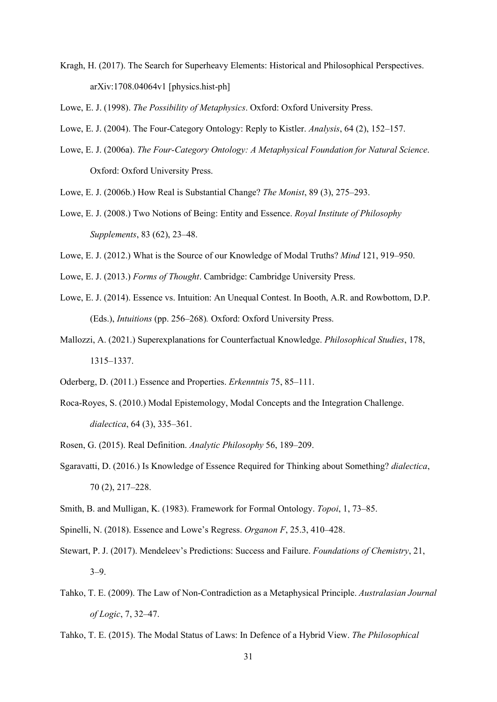Kragh, H. (2017). The Search for Superheavy Elements: Historical and Philosophical Perspectives. arXiv:1708.04064v1 [physics.hist-ph]

Lowe, E. J. (1998). *The Possibility of Metaphysics*. Oxford: Oxford University Press.

Lowe, E. J. (2004). The Four-Category Ontology: Reply to Kistler. *Analysis*, 64 (2), 152–157.

Lowe, E. J. (2006a). *The Four-Category Ontology: A Metaphysical Foundation for Natural Science*. Oxford: Oxford University Press.

Lowe, E. J. (2006b.) How Real is Substantial Change? *The Monist*, 89 (3), 275–293.

Lowe, E. J. (2008.) Two Notions of Being: Entity and Essence. *Royal Institute of Philosophy Supplements*, 83 (62), 23–48.

Lowe, E. J. (2012.) What is the Source of our Knowledge of Modal Truths? *Mind* 121, 919–950.

Lowe, E. J. (2013.) *Forms of Thought*. Cambridge: Cambridge University Press.

- Lowe, E. J. (2014). Essence vs. Intuition: An Unequal Contest. In Booth, A.R. and Rowbottom, D.P. (Eds.), *Intuitions* (pp. 256–268)*.* Oxford: Oxford University Press.
- Mallozzi, A. (2021.) Superexplanations for Counterfactual Knowledge. *Philosophical Studies*, 178, 1315–1337.
- Oderberg, D. (2011.) Essence and Properties. *Erkenntnis* 75, 85–111.
- Roca-Royes, S. (2010.) Modal Epistemology, Modal Concepts and the Integration Challenge. *dialectica*, 64 (3), 335–361.

Rosen, G. (2015). Real Definition. *Analytic Philosophy* 56, 189–209.

- Sgaravatti, D. (2016.) Is Knowledge of Essence Required for Thinking about Something? *dialectica*, 70 (2), 217–228.
- Smith, B. and Mulligan, K. (1983). Framework for Formal Ontology. *Topoi*, 1, 73–85.
- Spinelli, N. (2018). Essence and Lowe's Regress. *Organon F*, 25.3, 410–428.
- Stewart, P. J. (2017). Mendeleev's Predictions: Success and Failure. *Foundations of Chemistry*, 21, 3–9.
- Tahko, T. E. (2009). The Law of Non-Contradiction as a Metaphysical Principle. *Australasian Journal of Logic*, 7, 32–47.

Tahko, T. E. (2015). The Modal Status of Laws: In Defence of a Hybrid View. *The Philosophical*